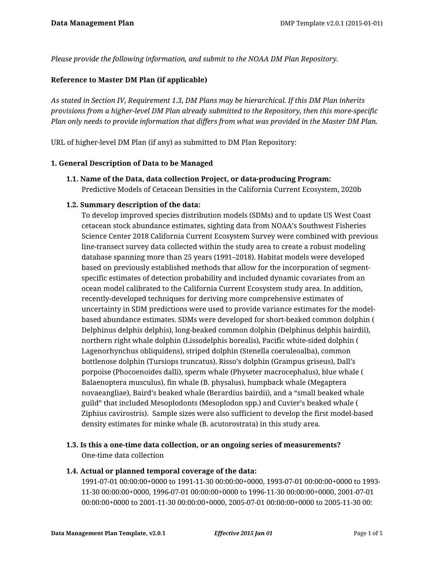*Please provide the following information, and submit to the NOAA DM Plan Repository.*

### **Reference to Master DM Plan (if applicable)**

*As stated in Section IV, Requirement 1.3, DM Plans may be hierarchical. If this DM Plan inherits provisions from a higher-level DM Plan already submitted to the Repository, then this more-specific Plan only needs to provide information that differs from what was provided in the Master DM Plan.*

URL of higher-level DM Plan (if any) as submitted to DM Plan Repository:

### **1. General Description of Data to be Managed**

**1.1. Name of the Data, data collection Project, or data-producing Program:** Predictive Models of Cetacean Densities in the California Current Ecosystem, 2020b

### **1.2. Summary description of the data:**

To develop improved species distribution models (SDMs) and to update US West Coast cetacean stock abundance estimates, sighting data from NOAA's Southwest Fisheries Science Center 2018 California Current Ecosystem Survey were combined with previous line-transect survey data collected within the study area to create a robust modeling database spanning more than 25 years (1991–2018). Habitat models were developed based on previously established methods that allow for the incorporation of segmentspecific estimates of detection probability and included dynamic covariates from an ocean model calibrated to the California Current Ecosystem study area. In addition, recently-developed techniques for deriving more comprehensive estimates of uncertainty in SDM predictions were used to provide variance estimates for the modelbased abundance estimates. SDMs were developed for short-beaked common dolphin ( Delphinus delphis delphis), long-beaked common dolphin (Delphinus delphis bairdii), northern right whale dolphin (Lissodelphis borealis), Pacific white-sided dolphin ( Lagenorhynchus obliquidens), striped dolphin (Stenella coeruleoalba), common bottlenose dolphin (Tursiops truncatus), Risso's dolphin (Grampus griseus), Dall's porpoise (Phocoenoides dalli), sperm whale (Physeter macrocephalus), blue whale ( Balaenoptera musculus), fin whale (B. physalus), humpback whale (Megaptera novaeangliae), Baird's beaked whale (Berardius bairdii), and a "small beaked whale guild" that included Mesoplodonts (Mesoplodon spp.) and Cuvier's beaked whale ( Ziphius cavirostris). Sample sizes were also sufficient to develop the first model-based density estimates for minke whale (B. acutorostrata) in this study area.

# **1.3. Is this a one-time data collection, or an ongoing series of measurements?** One-time data collection

# **1.4. Actual or planned temporal coverage of the data:**

1991-07-01 00:00:00+0000 to 1991-11-30 00:00:00+0000, 1993-07-01 00:00:00+0000 to 1993- 11-30 00:00:00+0000, 1996-07-01 00:00:00+0000 to 1996-11-30 00:00:00+0000, 2001-07-01 00:00:00+0000 to 2001-11-30 00:00:00+0000, 2005-07-01 00:00:00+0000 to 2005-11-30 00: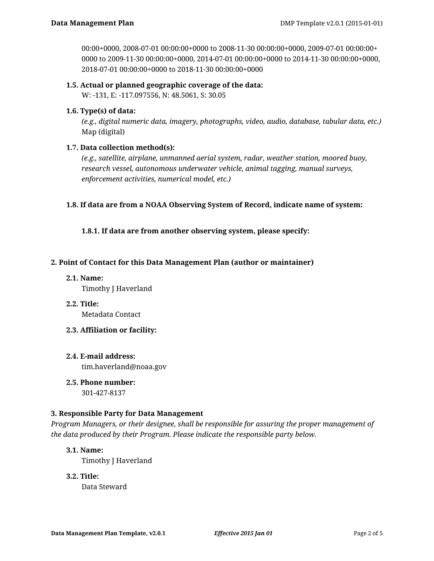00:00+0000, 2008-07-01 00:00:00+0000 to 2008-11-30 00:00:00+0000, 2009-07-01 00:00:00+ 0000 to 2009-11-30 00:00:00+0000, 2014-07-01 00:00:00+0000 to 2014-11-30 00:00:00+0000, 2018-07-01 00:00:00+0000 to 2018-11-30 00:00:00+0000

# **1.5. Actual or planned geographic coverage of the data:**

W: -131, E: -117.097556, N: 48.5061, S: 30.05

# **1.6. Type(s) of data:**

*(e.g., digital numeric data, imagery, photographs, video, audio, database, tabular data, etc.)* Map (digital)

# **1.7. Data collection method(s):**

*(e.g., satellite, airplane, unmanned aerial system, radar, weather station, moored buoy, research vessel, autonomous underwater vehicle, animal tagging, manual surveys, enforcement activities, numerical model, etc.)*

# **1.8. If data are from a NOAA Observing System of Record, indicate name of system:**

**1.8.1. If data are from another observing system, please specify:**

# **2. Point of Contact for this Data Management Plan (author or maintainer)**

**2.1. Name:**

Timothy J Haverland

- **2.2. Title:** Metadata Contact
- **2.3. Affiliation or facility:**
- **2.4. E-mail address:**

tim.haverland@noaa.gov

**2.5. Phone number:** 301-427-8137

# **3. Responsible Party for Data Management**

*Program Managers, or their designee, shall be responsible for assuring the proper management of the data produced by their Program. Please indicate the responsible party below.*

# **3.1. Name:**

Timothy J Haverland

**3.2. Title:**

Data Steward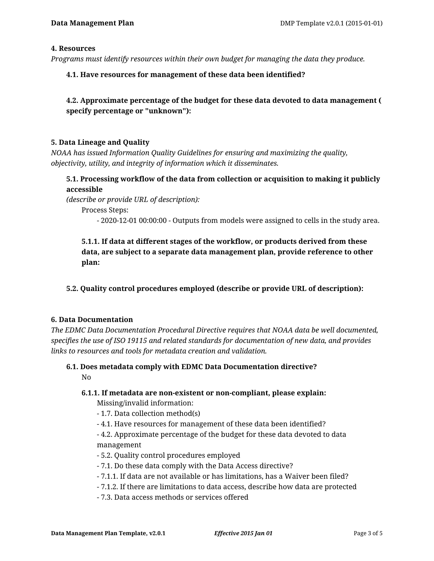### **4. Resources**

*Programs must identify resources within their own budget for managing the data they produce.*

### **4.1. Have resources for management of these data been identified?**

**4.2. Approximate percentage of the budget for these data devoted to data management ( specify percentage or "unknown"):**

### **5. Data Lineage and Quality**

*NOAA has issued Information Quality Guidelines for ensuring and maximizing the quality, objectivity, utility, and integrity of information which it disseminates.*

# **5.1. Processing workflow of the data from collection or acquisition to making it publicly accessible**

*(describe or provide URL of description):*

Process Steps:

- 2020-12-01 00:00:00 - Outputs from models were assigned to cells in the study area.

**5.1.1. If data at different stages of the workflow, or products derived from these data, are subject to a separate data management plan, provide reference to other plan:**

# **5.2. Quality control procedures employed (describe or provide URL of description):**

### **6. Data Documentation**

*The EDMC Data Documentation Procedural Directive requires that NOAA data be well documented, specifies the use of ISO 19115 and related standards for documentation of new data, and provides links to resources and tools for metadata creation and validation.*

# **6.1. Does metadata comply with EDMC Data Documentation directive?** No

### **6.1.1. If metadata are non-existent or non-compliant, please explain:**

Missing/invalid information:

- 1.7. Data collection method(s)
- 4.1. Have resources for management of these data been identified?
- 4.2. Approximate percentage of the budget for these data devoted to data management
- 5.2. Quality control procedures employed
- 7.1. Do these data comply with the Data Access directive?
- 7.1.1. If data are not available or has limitations, has a Waiver been filed?
- 7.1.2. If there are limitations to data access, describe how data are protected
- 7.3. Data access methods or services offered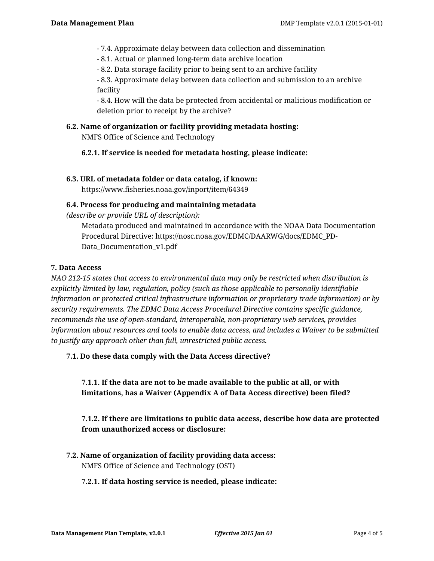- 7.4. Approximate delay between data collection and dissemination
- 8.1. Actual or planned long-term data archive location
- 8.2. Data storage facility prior to being sent to an archive facility

- 8.3. Approximate delay between data collection and submission to an archive facility

- 8.4. How will the data be protected from accidental or malicious modification or deletion prior to receipt by the archive?

**6.2. Name of organization or facility providing metadata hosting:**

NMFS Office of Science and Technology

- **6.2.1. If service is needed for metadata hosting, please indicate:**
- **6.3. URL of metadata folder or data catalog, if known:**

https://www.fisheries.noaa.gov/inport/item/64349

### **6.4. Process for producing and maintaining metadata**

*(describe or provide URL of description):*

Metadata produced and maintained in accordance with the NOAA Data Documentation Procedural Directive: https://nosc.noaa.gov/EDMC/DAARWG/docs/EDMC\_PD-Data Documentation v1.pdf

### **7. Data Access**

*NAO 212-15 states that access to environmental data may only be restricted when distribution is explicitly limited by law, regulation, policy (such as those applicable to personally identifiable information or protected critical infrastructure information or proprietary trade information) or by security requirements. The EDMC Data Access Procedural Directive contains specific guidance, recommends the use of open-standard, interoperable, non-proprietary web services, provides information about resources and tools to enable data access, and includes a Waiver to be submitted to justify any approach other than full, unrestricted public access.*

# **7.1. Do these data comply with the Data Access directive?**

**7.1.1. If the data are not to be made available to the public at all, or with limitations, has a Waiver (Appendix A of Data Access directive) been filed?**

**7.1.2. If there are limitations to public data access, describe how data are protected from unauthorized access or disclosure:**

**7.2. Name of organization of facility providing data access:** NMFS Office of Science and Technology (OST)

# **7.2.1. If data hosting service is needed, please indicate:**